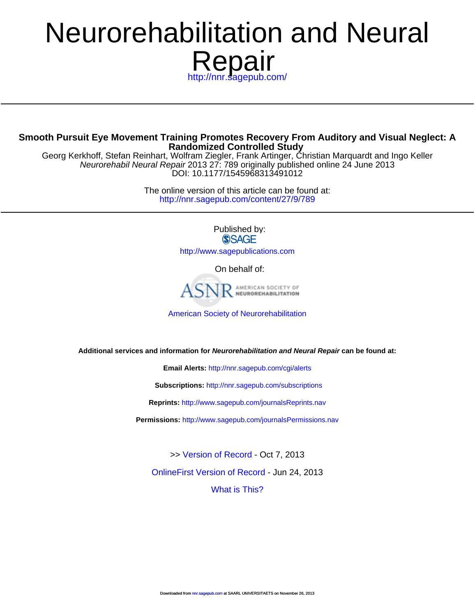# **Repair** Neurorehabilitation and Neural

//nnr.sagepub.com/

# **Rando[mized Controlled Study](http://nnr.sagepub.com/subscriptions) Smooth Pursuit Eye Movement Training Promotes Recovery From Auditory and Visual Neglect: A**

D[OI: 10.1177/1545968313491012](http://www.sagepub.com/journalsReprints.nav) Neurorehabil Neural Repair 2013 27: 789 originally published online 24 June 2013 Georg Kerkhoff, Stefan Reinhart, Wolfram Ziegler, Frank Artinger, Christian Marquardt and Ingo Keller

> <http://nnr.sagepub.com/content/27/9/789> The online version of this article can be found at:

> > Published by: **SSAGE**

<http://www.sagepublications.com>

On behalf of:



[American Society of Neurorehabilitation](http://www.asnr.com/)

**Additional services and information for Neurorehabilitation and Neural Repair can be found at:**

**Email Alerts:** <http://nnr.sagepub.com/cgi/alerts>

**Subscriptions:** <http://nnr.sagepub.com/subscriptions>

**Reprints:** <http://www.sagepub.com/journalsReprints.nav>

**Permissions:** <http://www.sagepub.com/journalsPermissions.nav>

>> [Version of Record -](http://nnr.sagepub.com/content/27/9/789.full.pdf) Oct 7, 2013

[OnlineFirst Version of Record -](http://nnr.sagepub.com/content/early/2013/06/24/1545968313491012.full.pdf) Jun 24, 2013

[What is This?](http://online.sagepub.com/site/sphelp/vorhelp.xhtml)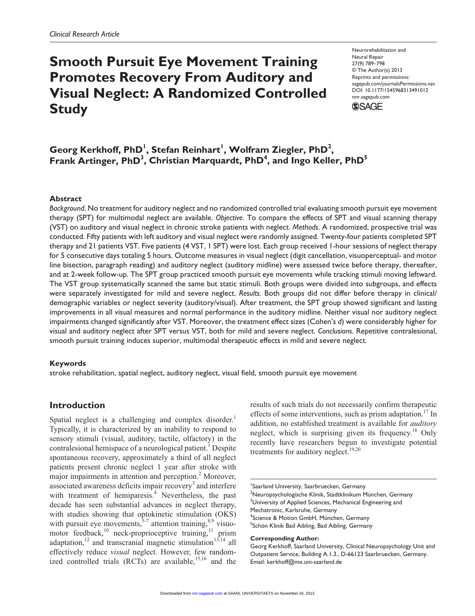# **Smooth Pursuit Eye Movement Training Promotes Recovery From Auditory and Visual Neglect: A Randomized Controlled Study**

Neurorehabilitation and Neural Repair 27(9) 789–798 © The Author(s) 2013 Reprints and permissions: sagepub.com/journalsPermissions.nav DOI: 10.1177/1545968313491012 nnr.sagepub.com **SSAGE** 

 $\mathbf{G}$ eorg Kerkhoff, PhD<sup>1</sup>, Stefan Reinhart<sup>1</sup>, Wolfram Ziegler, PhD<sup>2</sup>, Frank Artinger, PhD<sup>3</sup>, Christian Marquardt, PhD<sup>4</sup>, and Ingo Keller, PhD<sup>5</sup>

#### **Abstract**

*Background*. No treatment for auditory neglect and no randomized controlled trial evaluating smooth pursuit eye movement therapy (SPT) for multimodal neglect are available. *Objective*. To compare the effects of SPT and visual scanning therapy (VST) on auditory and visual neglect in chronic stroke patients with neglect. *Methods*. A randomized, prospective trial was conducted. Fifty patients with left auditory and visual neglect were randomly assigned. Twenty-four patients completed SPT therapy and 21 patients VST. Five patients (4 VST, 1 SPT) were lost. Each group received 1-hour sessions of neglect therapy for 5 consecutive days totaling 5 hours. Outcome measures in visual neglect (digit cancellation, visuoperceptual- and motor line bisection, paragraph reading) and auditory neglect (auditory midline) were assessed twice before therapy, thereafter, and at 2-week follow-up. The SPT group practiced smooth pursuit eye movements while tracking stimuli moving leftward. The VST group systematically scanned the same but static stimuli. Both groups were divided into subgroups, and effects were separately investigated for mild and severe neglect. *Results*. Both groups did not differ before therapy in clinical/ demographic variables or neglect severity (auditory/visual). After treatment, the SPT group showed significant and lasting improvements in all visual measures and normal performance in the auditory midline. Neither visual nor auditory neglect impairments changed significantly after VST. Moreover, the treatment effect sizes (Cohen's *d*) were considerably higher for visual and auditory neglect after SPT versus VST, both for mild and severe neglect. *Conclusions*. Repetitive contralesional, smooth pursuit training induces superior, multimodal therapeutic effects in mild and severe neglect.

#### **Keywords**

stroke rehabilitation, spatial neglect, auditory neglect, visual field, smooth pursuit eye movement

#### **Introduction**

Spatial neglect is a challenging and complex disorder.<sup>1</sup> Typically, it is characterized by an inability to respond to sensory stimuli (visual, auditory, tactile, olfactory) in the contralesional hemispace of a neurological patient.<sup>1</sup> Despite spontaneous recovery, approximately a third of all neglect patients present chronic neglect 1 year after stroke with major impairments in attention and perception.<sup>2</sup> Moreover, associated awareness deficits impair recovery<sup>3</sup> and interfere with treatment of hemiparesis.<sup>4</sup> Nevertheless, the past decade has seen substantial advances in neglect therapy, with studies showing that optokinetic stimulation (OKS) with pursuit eye movements,  $5-7$  attention training,  $8,9$  visuomotor feedback,<sup>10</sup> neck-proprioceptive training,<sup>11</sup> prism adaptation,<sup>12</sup> and transcranial magnetic stimulation<sup>13,14</sup> all effectively reduce *visual* neglect. However, few randomized controlled trials (RCTs) are available,<sup>15,16</sup> and the

results of such trials do not necessarily confirm therapeutic effects of some interventions, such as prism adaptation.<sup>17</sup> In addition, no established treatment is available for *auditory* neglect, which is surprising given its frequency.<sup>18</sup> Only recently have researchers begun to investigate potential treatments for auditory neglect.<sup>19,20</sup>

<sup>2</sup>Neuropsychologische Klinik, Stadtklinikum München, Germany  $3$ University of Applied Sciences, Mechanical Engineering and Mechatronic, Karlsruhe, Germany 4 Science & Motion GmbH, München, Germany

<sup>5</sup>Schön Klinik Bad Aibling, Bad Aibling, Germany

**Corresponding Author:**

Georg Kerkhoff, Saarland University, Clinical Neuropsychology Unit and Outpatient Service, Building A.1.3., D-66123 Saarbruecken, Germany. Email: kerkhoff@mx.uni-saarland.de

<sup>1</sup> Saarland University, Saarbruecken, Germany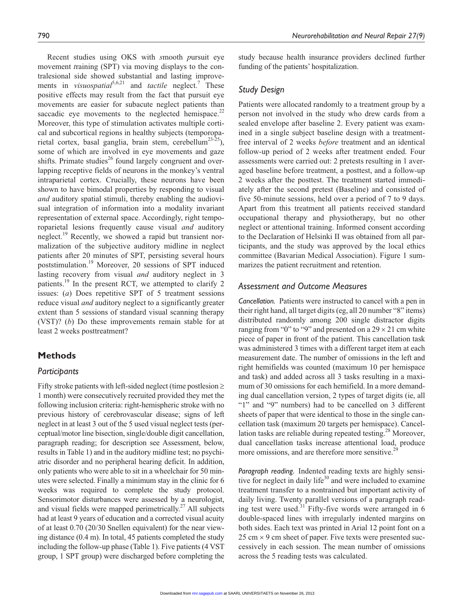Recent studies using OKS with *s*mooth *p*ursuit eye movement *t*raining (SPT) via moving displays to the contralesional side showed substantial and lasting improvements in *visuospatial*<sup>5,6,21</sup> and *tactile* neglect.<sup>7</sup> These positive effects may result from the fact that pursuit eye movements are easier for subacute neglect patients than saccadic eye movements to the neglected hemispace. $22$ Moreover, this type of stimulation activates multiple cortical and subcortical regions in healthy subjects (temporoparietal cortex, basal ganglia, brain stem, cerebellum<sup>23-25</sup>), some of which are involved in eye movements and gaze shifts. Primate studies<sup>26</sup> found largely congruent and overlapping receptive fields of neurons in the monkey's ventral intraparietal cortex. Crucially, these neurons have been shown to have bimodal properties by responding to visual *and* auditory spatial stimuli, thereby enabling the audiovisual integration of information into a modality invariant representation of external space. Accordingly, right temporoparietal lesions frequently cause visual *and* auditory neglect.<sup>19</sup> Recently, we showed a rapid but transient normalization of the subjective auditory midline in neglect patients after 20 minutes of SPT, persisting several hours poststimulation.19 Moreover, 20 sessions of SPT induced lasting recovery from visual *and* auditory neglect in 3 patients.<sup>19</sup> In the present RCT, we attempted to clarify 2 issues: (*a*) Does repetitive SPT of 5 treatment sessions reduce visual *and* auditory neglect to a significantly greater extent than 5 sessions of standard visual scanning therapy (VST)? (*b*) Do these improvements remain stable for at least 2 weeks posttreatment?

# **Methods**

#### *Participants*

Fifty stroke patients with left-sided neglect (time postlesion ≥ 1 month) were consecutively recruited provided they met the following inclusion criteria: right-hemispheric stroke with no previous history of cerebrovascular disease; signs of left neglect in at least 3 out of the 5 used visual neglect tests (perceptual/motor line bisection, single/double digit cancellation, paragraph reading; for description see Assessment, below, results in Table 1) and in the auditory midline test; no psychiatric disorder and no peripheral hearing deficit. In addition, only patients who were able to sit in a wheelchair for 50 minutes were selected. Finally a minimum stay in the clinic for 6 weeks was required to complete the study protocol. Sensorimotor disturbances were assessed by a neurologist, and visual fields were mapped perimetrically.<sup>27</sup> All subjects had at least 9 years of education and a corrected visual acuity of at least 0.70 (20/30 Snellen equivalent) for the near viewing distance (0.4 m). In total, 45 patients completed the study including the follow-up phase (Table 1). Five patients (4 VST group, 1 SPT group) were discharged before completing the study because health insurance providers declined further funding of the patients' hospitalization.

#### *Study Design*

Patients were allocated randomly to a treatment group by a person not involved in the study who drew cards from a sealed envelope after baseline 2. Every patient was examined in a single subject baseline design with a treatmentfree interval of 2 weeks *before* treatment and an identical follow-up period of 2 weeks after treatment ended. Four assessments were carried out: 2 pretests resulting in 1 averaged baseline before treatment, a posttest, and a follow-up 2 weeks after the posttest. The treatment started immediately after the second pretest (Baseline) and consisted of five 50-minute sessions, held over a period of 7 to 9 days. Apart from this treatment all patients received standard occupational therapy and physiotherapy, but no other neglect or attentional training. Informed consent according to the Declaration of Helsinki II was obtained from all participants, and the study was approved by the local ethics committee (Bavarian Medical Association). Figure 1 summarizes the patient recruitment and retention.

#### *Assessment and Outcome Measures*

*Cancellation.* Patients were instructed to cancel with a pen in their right hand, all target digits (eg, all 20 number "8" items) distributed randomly among 200 single distractor digits ranging from "0" to "9" and presented on a  $29 \times 21$  cm white piece of paper in front of the patient. This cancellation task was administered 3 times with a different target item at each measurement date. The number of omissions in the left and right hemifields was counted (maximum 10 per hemispace and task) and added across all 3 tasks resulting in a maximum of 30 omissions for each hemifield. In a more demanding dual cancellation version, 2 types of target digits (ie, all "1" and "9" numbers) had to be cancelled on 3 different sheets of paper that were identical to those in the single cancellation task (maximum 20 targets per hemispace). Cancellation tasks are reliable during repeated testing.<sup>28</sup> Moreover, dual cancellation tasks increase attentional load, produce more omissions, and are therefore more sensitive.<sup>2</sup>

*Paragraph reading.* Indented reading texts are highly sensitive for neglect in daily life<sup>30</sup> and were included to examine treatment transfer to a nontrained but important activity of daily living. Twenty parallel versions of a paragraph reading test were used.<sup>31</sup> Fifty-five words were arranged in 6 double-spaced lines with irregularly indented margins on both sides. Each text was printed in Arial 12 point font on a  $25 \text{ cm} \times 9 \text{ cm}$  sheet of paper. Five texts were presented successively in each session. The mean number of omissions across the 5 reading tests was calculated.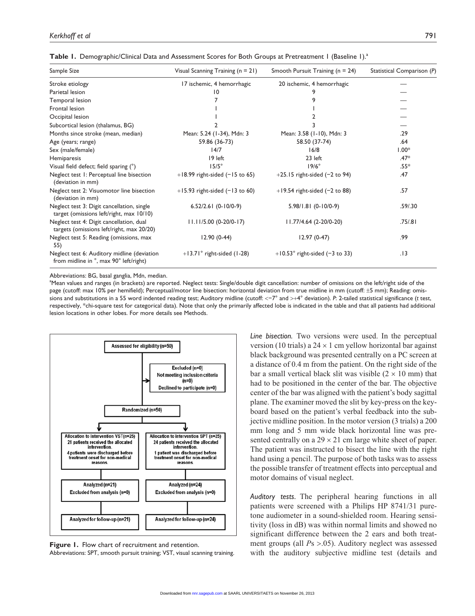| Table 1. Demographic/Clinical Data and Assessment Scores for Both Groups at Pretreatment 1 (Baseline 1). <sup>3</sup> |  |  |
|-----------------------------------------------------------------------------------------------------------------------|--|--|
|-----------------------------------------------------------------------------------------------------------------------|--|--|

| Sample Size                                                                            | Visual Scanning Training $(n = 21)$ | Smooth Pursuit Training ( $n = 24$ ) | Statistical Comparison (P) |
|----------------------------------------------------------------------------------------|-------------------------------------|--------------------------------------|----------------------------|
| Stroke etiology                                                                        | 17 ischemic, 4 hemorrhagic          | 20 ischemic, 4 hemorrhagic           |                            |
| Parietal lesion                                                                        | 10                                  |                                      |                            |
| Temporal lesion                                                                        |                                     |                                      |                            |
| Frontal lesion                                                                         |                                     |                                      |                            |
| Occipital lesion                                                                       |                                     |                                      |                            |
| Subcortical lesion (thalamus, BG)                                                      |                                     |                                      |                            |
| Months since stroke (mean, median)                                                     | Mean: 5.24 (1-34), Mdn: 3           | Mean: 3.58 (1-10), Mdn: 3            | .29                        |
| Age (years; range)                                                                     | 59.86 (36-73)                       | 58.50 (37-74)                        | .64                        |
| Sex (male/female)                                                                      | 14/7                                | 16/8                                 | $1.00*$                    |
| Hemiparesis                                                                            | 19 left                             | 23 left                              | $.47*$                     |
| Visual field defect; field sparing (°)                                                 | $15/5^\circ$                        | $19/6^\circ$                         | .55*                       |
| Neglect test 1: Perceptual line bisection<br>(deviation in mm)                         | $+18.99$ right-sided ( $-15$ to 65) | $+25.15$ right-sided (-2 to 94)      | .47                        |
| Neglect test 2: Visuomotor line bisection<br>(deviation in mm)                         | $+15.93$ right-sided (-13 to 60)    | $+19.54$ right-sided (-2 to 88)      | .57                        |
| Neglect test 3: Digit cancellation, single<br>target (omissions left/right, max 10/10) | $6.52/2.61(0-10/0-9)$               | $5.98/1.81(0-10/0-9)$                | .59/.30                    |
| Neglect test 4: Digit cancellation, dual<br>targets (omissions left/right, max 20/20)  | $11.11/5.00(0-20/0-17)$             | 11.77/4.64 (2-20/0-20)               | .75/0.81                   |
| Neglect test 5: Reading (omissions, max<br>55)                                         | $12.90(0-44)$                       | $12.97(0-47)$                        | .99                        |
| Neglect test 6: Auditory midline (deviation<br>from midline in °, max 90° left/right)  | $+13.71^{\circ}$ right-sided (1-28) | $+10.53$ ° right-sided (-3 to 33)    | .13                        |

Abbreviations: BG, basal ganglia, Mdn, median.

a Mean values and ranges (in brackets) are reported. Neglect tests: Single/double digit cancellation: number of omissions on the left/right side of the page (cutoff: max 10% per hemifield); Perceptual/motor line bisection: horizontal deviation from true midline in mm (cutoff: ±5 mm); Reading: omissions and substitutions in a 55 word indented reading test; Auditory midline (cutoff: <−7° and >+4° deviation). *P*: 2-tailed statistical significance (*t* test, respectively, \*chi-square test for categorical data). Note that only the primarily affected lobe is indicated in the table and that all patients had additional lesion locations in other lobes. For more details see Methods.



**Figure 1.** Flow chart of recruitment and retention. Abbreviations: SPT, smooth pursuit training; VST, visual scanning training.

*Line bisection.* Two versions were used. In the perceptual version (10 trials) a  $24 \times 1$  cm yellow horizontal bar against black background was presented centrally on a PC screen at a distance of 0.4 m from the patient. On the right side of the bar a small vertical black slit was visible  $(2 \times 10 \text{ mm})$  that had to be positioned in the center of the bar. The objective center of the bar was aligned with the patient's body sagittal plane. The examiner moved the slit by key-press on the keyboard based on the patient's verbal feedback into the subjective midline position. In the motor version (3 trials) a 200 mm long and 5 mm wide black horizontal line was presented centrally on a  $29 \times 21$  cm large white sheet of paper. The patient was instructed to bisect the line with the right hand using a pencil. The purpose of both tasks was to assess the possible transfer of treatment effects into perceptual and motor domains of visual neglect.

*Auditory tests.* The peripheral hearing functions in all patients were screened with a Philips HP 8741/31 puretone audiometer in a sound-shielded room. Hearing sensitivity (loss in dB) was within normal limits and showed no significant difference between the 2 ears and both treatment groups (all *P*s >.05). Auditory neglect was assessed with the auditory subjective midline test (details and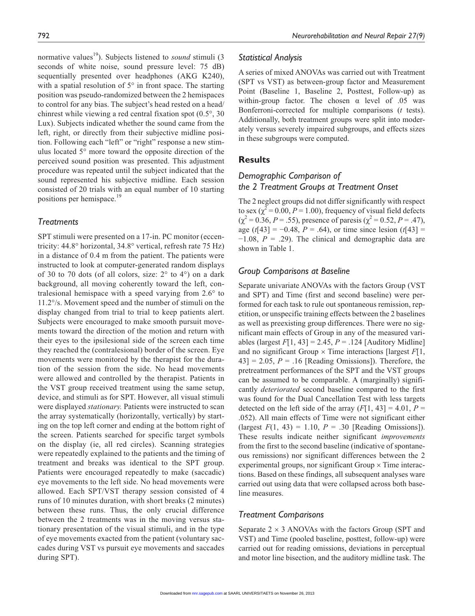normative values<sup>19</sup>). Subjects listened to *sound* stimuli (3) seconds of white noise, sound pressure level: 75 dB) sequentially presented over headphones (AKG K240), with a spatial resolution of  $5^\circ$  in front space. The starting position was pseudo-randomized between the 2 hemispaces to control for any bias. The subject's head rested on a head/ chinrest while viewing a red central fixation spot (0.5°, 30 Lux). Subjects indicated whether the sound came from the left, right, or directly from their subjective midline position. Following each "left" or "right" response a new stimulus located 5° more toward the opposite direction of the perceived sound position was presented. This adjustment procedure was repeated until the subject indicated that the sound represented his subjective midline. Each session consisted of 20 trials with an equal number of 10 starting positions per hemispace.<sup>19</sup>

#### *Treatments*

SPT stimuli were presented on a 17-in. PC monitor (eccentricity: 44.8° horizontal, 34.8° vertical, refresh rate 75 Hz) in a distance of 0.4 m from the patient. The patients were instructed to look at computer-generated random displays of 30 to 70 dots (of all colors, size: 2° to 4°) on a dark background, all moving coherently toward the left, contralesional hemispace with a speed varying from 2.6° to 11.2°/s. Movement speed and the number of stimuli on the display changed from trial to trial to keep patients alert. Subjects were encouraged to make smooth pursuit movements toward the direction of the motion and return with their eyes to the ipsilesional side of the screen each time they reached the (contralesional) border of the screen. Eye movements were monitored by the therapist for the duration of the session from the side. No head movements were allowed and controlled by the therapist. Patients in the VST group received treatment using the same setup, device, and stimuli as for SPT. However, all visual stimuli were displayed *stationary.* Patients were instructed to scan the array systematically (horizontally, vertically) by starting on the top left corner and ending at the bottom right of the screen. Patients searched for specific target symbols on the display (ie, all red circles). Scanning strategies were repeatedly explained to the patients and the timing of treatment and breaks was identical to the SPT group. Patients were encouraged repeatedly to make (saccadic) eye movements to the left side. No head movements were allowed. Each SPT/VST therapy session consisted of 4 runs of 10 minutes duration, with short breaks (2 minutes) between these runs. Thus, the only crucial difference between the 2 treatments was in the moving versus stationary presentation of the visual stimuli, and in the type of eye movements exacted from the patient (voluntary saccades during VST vs pursuit eye movements and saccades during SPT).

#### *Statistical Analysis*

A series of mixed ANOVAs was carried out with Treatment (SPT vs VST) as between-group factor and Measurement Point (Baseline 1, Baseline 2, Posttest, Follow-up) as within-group factor. The chosen  $\alpha$  level of .05 was Bonferroni-corrected for multiple comparisons (*t* tests). Additionally, both treatment groups were split into moderately versus severely impaired subgroups, and effects sizes in these subgroups were computed.

# **Results**

# *Demographic Comparison of the 2 Treatment Groups at Treatment Onset*

The 2 neglect groups did not differ significantly with respect to sex ( $\chi^2$  = 0.00, *P* = 1.00), frequency of visual field defects  $(\chi^2 = 0.36, P = .55)$ , presence of paresis  $(\chi^2 = 0.52, P = .47)$ , age ( $t$ [43] = −0.48,  $P = .64$ ), or time since lesion ( $t$ [43] = −1.08, *P* = .29). The clinical and demographic data are shown in Table 1.

## *Group Comparisons at Baseline*

Separate univariate ANOVAs with the factors Group (VST and SPT) and Time (first and second baseline) were performed for each task to rule out spontaneous remission, repetition, or unspecific training effects between the 2 baselines as well as preexisting group differences. There were no significant main effects of Group in any of the measured variables (largest  $F[1, 43] = 2.45$ ,  $P = .124$  [Auditory Midline] and no significant Group  $\times$  Time interactions [largest  $F[1,$ ],  $43$ ] = 2.05,  $P = .16$  [Reading Omissions]). Therefore, the pretreatment performances of the SPT and the VST groups can be assumed to be comparable. A (marginally) significantly *deteriorated* second baseline compared to the first was found for the Dual Cancellation Test with less targets detected on the left side of the array  $(F[1, 43] = 4.01, P =$ .052). All main effects of Time were not significant either (largest  $F(1, 43) = 1.10$ ,  $P = .30$  [Reading Omissions]). These results indicate neither significant *improvements* from the first to the second baseline (indicative of spontaneous remissions) nor significant differences between the 2 experimental groups, nor significant Group  $\times$  Time interactions. Based on these findings, all subsequent analyses ware carried out using data that were collapsed across both baseline measures.

## *Treatment Comparisons*

Separate  $2 \times 3$  ANOVAs with the factors Group (SPT and VST) and Time (pooled baseline, posttest, follow-up) were carried out for reading omissions, deviations in perceptual and motor line bisection, and the auditory midline task. The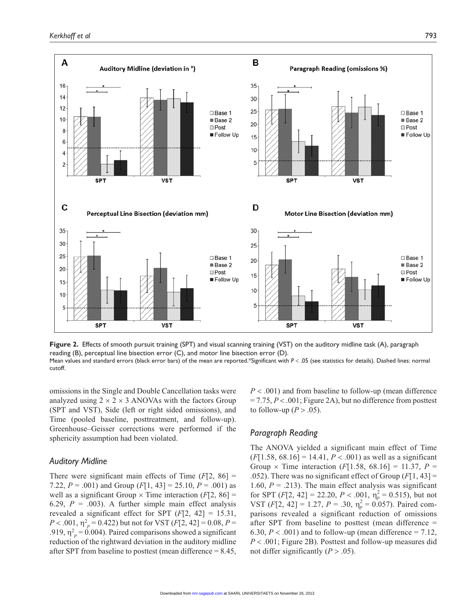

**Figure 2.** Effects of smooth pursuit training (SPT) and visual scanning training (VST) on the auditory midline task (A), paragraph reading (B), perceptual line bisection error (C), and motor line bisection error (D). Mean values and standard errors (black error bars) of the mean are reported.\*Significant with  $P < .05$  (see statistics for details). Dashed lines: normal cutoff.

omissions in the Single and Double Cancellation tasks were analyzed using  $2 \times 2 \times 3$  ANOVAs with the factors Group (SPT and VST), Side (left or right sided omissions), and Time (pooled baseline, posttreatment, and follow-up). Greenhouse–Geisser corrections were performed if the sphericity assumption had been violated.

#### *Auditory Midline*

There were significant main effects of Time (*F*[2, 86] = 7.22,  $P = .001$ ) and Group  $(F[1, 43] = 25.10, P = .001)$  as well as a significant Group  $\times$  Time interaction ( $F[2, 86]$ ) 6.29,  $P = .003$ ). A further simple main effect analysis revealed a significant effect for SPT  $(F[2, 42] = 15.31,$ *P* < .001,  $\eta_p^2 = 0.422$ ) but not for VST (*F*[2, 42] = 0.08, *P* = .919,  $\eta_p^2 = 0.004$ ). Paired comparisons showed a significant reduction of the rightward deviation in the auditory midline after SPT from baseline to posttest (mean difference = 8.45,

*P* < .001) and from baseline to follow-up (mean difference  $= 7.75, P < .001$ ; Figure 2A), but no difference from posttest to follow-up ( $P > .05$ ).

## *Paragraph Reading*

The ANOVA yielded a significant main effect of Time  $(F[1.58, 68.16] = 14.41, P < .001)$  as well as a significant Group  $\times$  Time interaction (*F*[1.58, 68.16] = 11.37, *P* = .052). There was no significant effect of Group (*F*[1, 43] = 1.60,  $P = .213$ ). The main effect analysis was significant for SPT  $(F[2, 42] = 22.20, P < .001, \eta_p^2 = 0.515)$ , but not VST  $(F[2, 42] = 1.27, P = .30, \eta_p^2 = 0.057)$ . Paired comparisons revealed a significant reduction of omissions after SPT from baseline to posttest (mean difference = 6.30,  $P < .001$ ) and to follow-up (mean difference = 7.12, *P* < .001; Figure 2B). Posttest and follow-up measures did not differ significantly  $(P > .05)$ .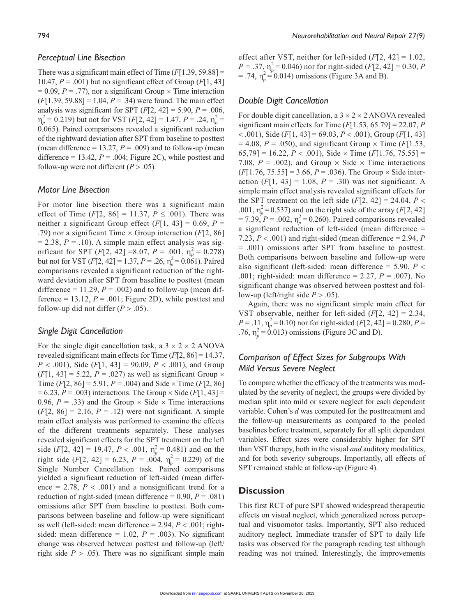#### *Perceptual Line Bisection*

There was a significant main effect of Time  $(F[1.39, 59.88] =$ 10.47,  $P = .001$ ) but no significant effect of Group ( $F[1, 43]$ )  $= 0.09, P = .77$ , nor a significant Group  $\times$  Time interaction  $(F[1.39, 59.88] = 1.04, P = .34)$  were found. The main effect analysis was significant for SPT  $(F[2, 42] = 5.90, P = .006,$  $\eta_p^2 = 0.219$ ) but not for VST (*F*[2, 42] = 1.47, *P* = .24,  $\eta_p^2$  = 0.065). Paired comparisons revealed a significant reduction of the rightward deviation after SPT from baseline to posttest (mean difference  $= 13.27$ ,  $P = .009$ ) and to follow-up (mean difference = 13.42,  $P = .004$ ; Figure 2C), while posttest and follow-up were not different  $(P > .05)$ .

#### *Motor Line Bisection*

For motor line bisection there was a significant main effect of Time  $(F[2, 86] = 11.37, P \le .001)$ . There was neither a significant Group effect  $(F[1, 43] = 0.69, P =$ .79) nor a significant Time × Group interaction (*F*[2, 86]  $= 2.38, P = .10$ ). A simple main effect analysis was significant for SPT  $(F[2, 42] = 8.07, P = .001, \eta_p^2 = 0.278)$ but not for VST  $(F[2, 42] = 1.37, P = .26, \eta_p^2 = 0.061)$ . Paired comparisons revealed a significant reduction of the rightward deviation after SPT from baseline to posttest (mean difference = 11.29,  $P = .002$ ) and to follow-up (mean difference = 13.12,  $P = .001$ ; Figure 2D), while posttest and follow-up did not differ  $(P > .05)$ .

#### *Single Digit Cancellation*

For the single digit cancellation task, a  $3 \times 2 \times 2$  ANOVA revealed significant main effects for Time (*F*[2, 86] = 14.37, *P* < .001), Side (*F*[1, 43] = 90.09, *P* < .001), and Group  $(F[1, 43] = 5.22, P = .027)$  as well as significant Group  $\times$ Time (*F*[2, 86] = 5.91, *P* = .004) and Side  $\times$  Time (*F*[2, 86]  $= 6.23, P = .003$ ) interactions. The Group  $\times$  Side (*F*[1, 43] = 0.96,  $P = .33$ ) and the Group  $\times$  Side  $\times$  Time interactions  $(F[2, 86] = 2.16, P = .12)$  were not significant. A simple main effect analysis was performed to examine the effects of the different treatments separately. These analyses revealed significant effects for the SPT treatment on the left side (*F*[2, 42] = 19.47, *P* < .001,  $\eta_p^2 = 0.481$ ) and on the right side (*F*[2, 42] = 6.23, *P* = .004,  $\eta_p^2 = 0.229$ ) of the Single Number Cancellation task. Paired comparisons yielded a significant reduction of left-sided (mean difference = 2.78,  $P < .001$ ) and a nonsignificant trend for a reduction of right-sided (mean difference  $= 0.90, P = .081$ ) omissions after SPT from baseline to posttest. Both comparisons between baseline and follow-up were significant as well (left-sided: mean difference = 2.94, *P* < .001; rightsided: mean difference =  $1.02$ ,  $P = .003$ ). No significant change was observed between posttest and follow-up (left/ right side  $P > .05$ ). There was no significant simple main

effect after VST, neither for left-sided (*F*[2, 42] = 1.02,  $P = .37$ ,  $\eta_p^2 = 0.046$ ) nor for right-sided (*F*[2, 42] = 0.30, *P*  $=$  .74,  $\eta_p^2 = 0.014$ ) omissions (Figure 3A and B).

#### *Double Digit Cancellation*

For double digit cancellation, a  $3 \times 2 \times 2$  ANOVA revealed significant main effects for Time (*F*[1.53, 65.79] = 22.07, *P* < .001), Side (*F*[1, 43] = 69.03, *P* < .001), Group (*F*[1, 43]  $= 4.08$ ,  $P = .050$ ), and significant Group  $\times$  Time (*F*[1.53, 65,79] = 16.22, *P* < .001), Side × Time (*F*[1.76, 75.55] = 7.08,  $P = .002$ ), and Group  $\times$  Side  $\times$  Time interactions  $(F[1.76, 75.55] = 3.66, P = .036$ . The Group  $\times$  Side interaction  $(F[1, 43] = 1.08, P = .30)$  was not significant. A simple main effect analysis revealed significant effects for the SPT treatment on the left side  $(F[2, 42] = 24.04, P <$ .001,  $\eta_p^2 = 0.537$ ) and on the right side of the array (*F*[2, 42]  $= 7.39, P = .002, \eta_p^2 = 0.260$ . Paired comparisons revealed a significant reduction of left-sided (mean difference = 7.23, *P* < .001) and right-sided (mean difference = 2.94, *P* = .001) omissions after SPT from baseline to posttest. Both comparisons between baseline and follow-up were also significant (left-sided: mean difference = 5.90, *P* < .001; right-sided: mean difference = 2.27, *P* = .007). No significant change was observed between posttest and follow-up (left/right side  $P > .05$ ).

Again, there was no significant simple main effect for VST observable, neither for left-sided (*F*[2, 42] = 2.34,  $P = .11$ ,  $\eta_p^2 = 0.10$ ) nor for right-sided (*F*[2, 42] = 0.280, *P* = .76,  $\eta_p^2 = 0.013$ ) omissions (Figure 3C and D).

# *Comparison of Effect Sizes for Subgroups With Mild Versus Severe Neglect*

To compare whether the efficacy of the treatments was modulated by the severity of neglect, the groups were divided by median split into mild or severe neglect for each dependent variable. Cohen's *d* was computed for the posttreatment and the follow-up measurements as compared to the pooled baselines before treatment, separately for all split dependent variables. Effect sizes were considerably higher for SPT than VST therapy, both in the visual *and* auditory modalities, and for both severity subgroups. Importantly, all effects of SPT remained stable at follow-up (Figure 4).

#### **Discussion**

This first RCT of pure SPT showed widespread therapeutic effects on visual neglect, which generalized across perceptual and visuomotor tasks. Importantly, SPT also reduced auditory neglect. Immediate transfer of SPT to daily life tasks was observed for the paragraph reading test although reading was not trained. Interestingly, the improvements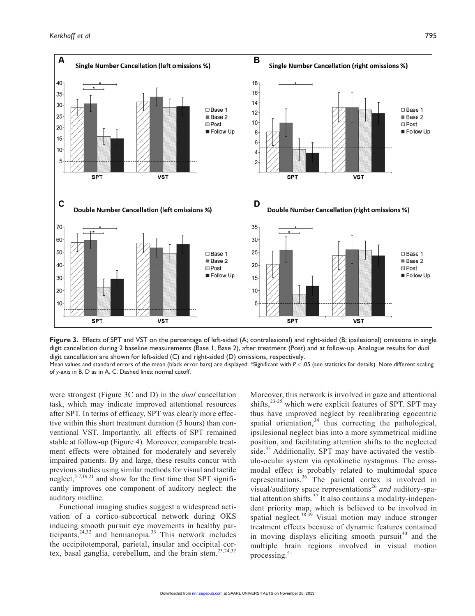

**Figure 3.** Effects of SPT and VST on the percentage of left-sided (A; contralesional) and right-sided (B; ipsilesional) omissions in single digit cancellation during 2 baseline measurements (Base 1, Base 2), after treatment (Post) and at follow-up. Analogue results for *dual* digit cancellation are shown for left-sided (C) and right-sided (D) omissions, respectively.

Mean values and standard errors of the mean (black error bars) are displayed. \*Significant with  $P < .05$  (see statistics for details). Note different scaling of *y*-axis in B, D as in A, C. Dashed lines: normal cutoff.

were strongest (Figure 3C and D) in the *dual* cancellation task, which may indicate improved attentional resources after SPT. In terms of efficacy, SPT was clearly more effective within this short treatment duration (5 hours) than conventional VST. Importantly, all effects of SPT remained stable at follow-up (Figure 4). Moreover, comparable treatment effects were obtained for moderately and severely impaired patients. By and large, these results concur with previous studies using similar methods for visual and tactile neglect,  $5-7,19,21$  and show for the first time that SPT significantly improves one component of auditory neglect: the auditory midline.

Functional imaging studies suggest a widespread activation of a cortico-subcortical network during OKS inducing smooth pursuit eye movements in healthy participants,  $24,32$  and hemianopia.<sup>33</sup> This network includes the occipitotemporal, parietal, insular and occipital cortex, basal ganglia, cerebellum, and the brain stem.<sup>23,24,32</sup>

Moreover, this network is involved in gaze and attentional shifts, $2^{3-25}$  which were explicit features of SPT. SPT may thus have improved neglect by recalibrating egocentric spatial orientation, $34$  thus correcting the pathological, ipsilesional neglect bias into a more symmetrical midline position, and facilitating attention shifts to the neglected side.<sup>35</sup> Additionally, SPT may have activated the vestibulo-ocular system via optokinetic nystagmus. The crossmodal effect is probably related to multimodal space representations.36 The parietal cortex is involved in visual/auditory space representations<sup>26</sup> and auditory-spatial attention shifts.37 It also contains a modality-independent priority map, which is believed to be involved in spatial neglect.<sup>38,39</sup> Visual motion may induce stronger treatment effects because of dynamic features contained in moving displays eliciting smooth pursuit<sup>40</sup> and the multiple brain regions involved in visual motion processing.<sup>41</sup>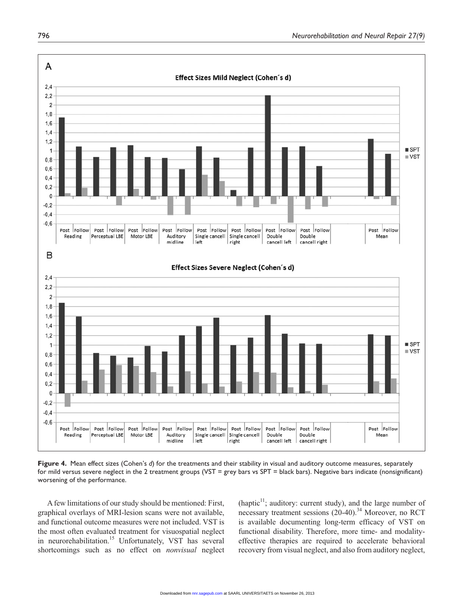

**Figure 4.** Mean effect sizes (Cohen's *d*) for the treatments and their stability in visual and auditory outcome measures, separately for mild versus severe neglect in the 2 treatment groups (VST = grey bars vs SPT = black bars). Negative bars indicate (nonsignificant) worsening of the performance.

A few limitations of our study should be mentioned: First, graphical overlays of MRI-lesion scans were not available, and functional outcome measures were not included. VST is the most often evaluated treatment for visuospatial neglect in neurorehabilitation.<sup>15</sup> Unfortunately, VST has several shortcomings such as no effect on *nonvisual* neglect (haptic $11$ ; auditory: current study), and the large number of necessary treatment sessions (20-40).<sup>34</sup> Moreover, no RCT is available documenting long-term efficacy of VST on functional disability. Therefore, more time- and modalityeffective therapies are required to accelerate behavioral recovery from visual neglect, and also from auditory neglect,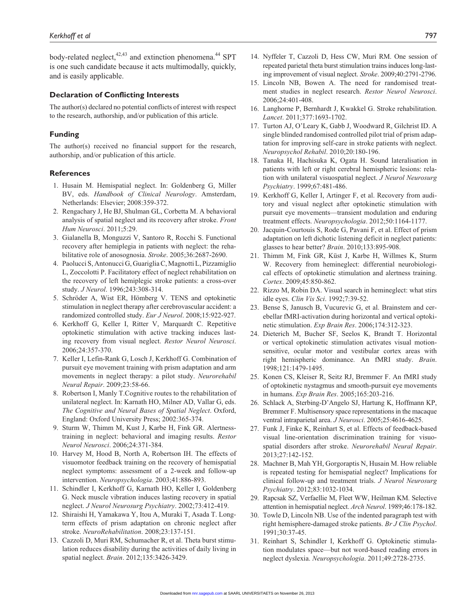body-related neglect,<sup>42,43</sup> and extinction phenomena.<sup>44</sup> SPT is one such candidate because it acts multimodally, quickly, and is easily applicable.

#### **Declaration of Conflicting Interests**

The author(s) declared no potential conflicts of interest with respect to the research, authorship, and/or publication of this article.

#### **Funding**

The author(s) received no financial support for the research, authorship, and/or publication of this article.

#### **References**

- 1. Husain M. Hemispatial neglect. In: Goldenberg G, Miller BV, eds. *Handbook of Clinical Neurology*. Amsterdam, Netherlands: Elsevier; 2008:359-372.
- 2. Rengachary J, He BJ, Shulman GL, Corbetta M. A behavioral analysis of spatial neglect and its recovery after stroke. *Front Hum Neurosci*. 2011;5:29.
- 3. Gialanella B, Monguzzi V, Santoro R, Rocchi S. Functional recovery after hemiplegia in patients with neglect: the rehabilitative role of anosognosia. *Stroke*. 2005;36:2687-2690.
- 4. Paolucci S, Antonucci G, Guariglia C, Magnotti L, Pizzamiglio L, Zoccolotti P. Facilitatory effect of neglect rehabilitation on the recovery of left hemiplegic stroke patients: a cross-over study. *J Neurol*. 1996;243:308-314.
- 5. Schröder A, Wist ER, Hömberg V. TENS and optokinetic stimulation in neglect therapy after cerebrovascular accident: a randomized controlled study. *Eur J Neurol*. 2008;15:922-927.
- 6. Kerkhoff G, Keller I, Ritter V, Marquardt C. Repetitive optokinetic stimulation with active tracking induces lasting recovery from visual neglect. *Restor Neurol Neurosci*. 2006;24:357-370.
- 7. Keller I, Lefin-Rank G, Losch J, Kerkhoff G. Combination of pursuit eye movement training with prism adaptation and arm movements in neglect therapy: a pilot study. *Neurorehabil Neural Repair*. 2009;23:58-66.
- 8. Robertson I, Manly T.Cognitive routes to the rehabilitation of unilateral neglect. In: Karnath HO, Milner AD, Vallar G, eds. *The Cognitive and Neural Bases of Spatial Neglect*. Oxford, England: Oxford University Press; 2002:365-374.
- 9. Sturm W, Thimm M, Kust J, Karbe H, Fink GR. Alertnesstraining in neglect: behavioral and imaging results. *Restor Neurol Neurosci*. 2006;24:371-384.
- 10. Harvey M, Hood B, North A, Robertson IH. The effects of visuomotor feedback training on the recovery of hemispatial neglect symptoms: assessment of a 2-week and follow-up intervention. *Neuropsychologia*. 2003;41:886-893.
- 11. Schindler I, Kerkhoff G, Karnath HO, Keller I, Goldenberg G. Neck muscle vibration induces lasting recovery in spatial neglect. *J Neurol Neurosurg Psychiatry*. 2002;73:412-419.
- 12. Shiraishi H, Yamakawa Y, Itou A, Muraki T, Asada T. Longterm effects of prism adaptation on chronic neglect after stroke. *NeuroRehabilitation*. 2008;23:137-151.
- 13. Cazzoli D, Muri RM, Schumacher R, et al. Theta burst stimulation reduces disability during the activities of daily living in spatial neglect. *Brain*. 2012;135:3426-3429.
- 14. Nyffeler T, Cazzoli D, Hess CW, Muri RM. One session of repeated parietal theta burst stimulation trains induces long-lasting improvement of visual neglect. *Stroke*. 2009;40:2791-2796.
- 15. Lincoln NB, Bowen A. The need for randomised treatment studies in neglect research. *Restor Neurol Neurosci*. 2006;24:401-408.
- 16. Langhorne P, Bernhardt J, Kwakkel G. Stroke rehabilitation. *Lancet*. 2011;377:1693-1702.
- 17. Turton AJ, O'Leary K, Gabb J, Woodward R, Gilchrist ID. A single blinded randomised controlled pilot trial of prism adaptation for improving self-care in stroke patients with neglect. *Neuropsychol Rehabil*. 2010;20:180-196.
- 18. Tanaka H, Hachisuka K, Ogata H. Sound lateralisation in patients with left or right cerebral hemispheric lesions: relation with unilateral visuospatial neglect. *J Neurol Neurosurg Psychiatry*. 1999;67:481-486.
- 19. Kerkhoff G, Keller I, Artinger F, et al. Recovery from auditory and visual neglect after optokinetic stimulation with pursuit eye movements—transient modulation and enduring treatment effects. *Neuropsychologia*. 2012;50:1164-1177.
- 20. Jacquin-Courtouis S, Rode G, Pavani F, et al. Effect of prism adaptation on left dichotic listening deficit in neglect patients: glasses to hear better? *Brain*. 2010;133:895-908.
- 21. Thimm M, Fink GR, Küst J, Karbe H, Willmes K, Sturm W. Recovery from hemineglect: differential neurobiological effects of optokinetic stimulation and alertness training. *Cortex*. 2009;45:850-862.
- 22. Rizzo M, Robin DA. Visual search in hemineglect: what stirs idle eyes. *Clin Vis Sci*. 1992;7:39-52.
- 23. Bense S, Janusch B, Vucurevic G, et al. Brainstem and cerebellar fMRI-activation during horizontal and vertical optokinetic stimulation. *Exp Brain Res*. 2006;174:312-323.
- 24. Dieterich M, Bucher SF, Seelos K, Brandt T. Horizontal or vertical optokinetic stimulation activates visual motionsensitive, ocular motor and vestibular cortex areas with right hemispheric dominance. An fMRI study. *Brain*. 1998;121:1479-1495.
- 25. Konen CS, Kleiser R, Seitz RJ, Bremmer F. An fMRI study of optokinetic nystagmus and smooth-pursuit eye movements in humans. *Exp Brain Res*. 2005;165:203-216.
- 26. Schlack A, Sterbing-D'Angelo SJ, Hartung K, Hoffmann KP, Bremmer F. Multisensory space representations in the macaque ventral intraparietal area. *J Neurosci*. 2005;25:4616-4625.
- 27. Funk J, Finke K, Reinhart S, et al. Effects of feedback-based visual line-orientation discrimination training for visuospatial disorders after stroke. *Neurorehabil Neural Repair*. 2013;27:142-152.
- 28. Machner B, Mah YH, Gorgoraptis N, Husain M. How reliable is repeated testing for hemispatial neglect? Implications for clinical follow-up and treatment trials. *J Neurol Neurosurg Psychiatry*. 2012;83:1032-1034.
- 29. Rapcsak SZ, Verfaellie M, Fleet WW, Heilman KM. Selective attention in hemispatial neglect. *Arch Neurol*. 1989;46:178-182.
- 30. Towle D, Lincoln NB. Use of the indented paragraph test with right hemisphere-damaged stroke patients. *Br J Clin Psychol*. 1991;30:37-45.
- 31. Reinhart S, Schindler I, Kerkhoff G. Optokinetic stimulation modulates space—but not word-based reading errors in neglect dyslexia. *Neuropsychologia*. 2011;49:2728-2735.